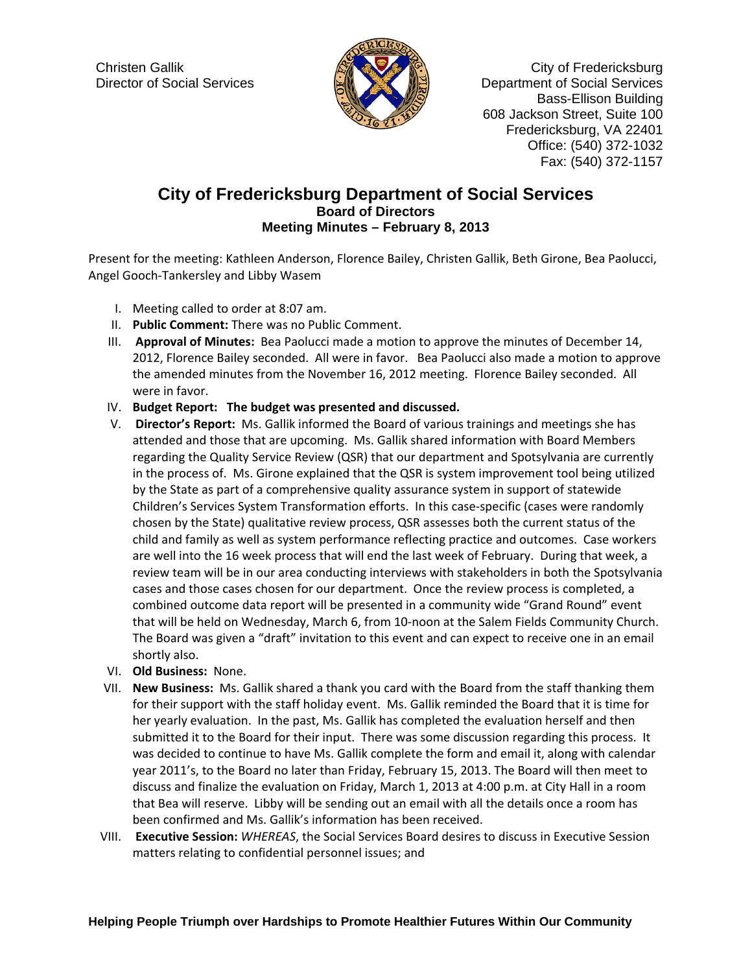

Christen Gallik Christen Gallik Christen Gallik Christen Callichter Christen Christen Christen Christen Christen Christen Christen Christen Christen Christen Christen Christen Christen Christen Christen Christen Christen C Director of Social Services Department of Social Services Bass-Ellison Building 608 Jackson Street, Suite 100 Fredericksburg, VA 22401 Office: (540) 372-1032 Fax: (540) 372-1157

## **City of Fredericksburg Department of Social Services Board of Directors Meeting Minutes – February 8, 2013**

Present for the meeting: Kathleen Anderson, Florence Bailey, Christen Gallik, Beth Girone, Bea Paolucci, Angel Gooch‐Tankersley and Libby Wasem

- I. Meeting called to order at 8:07 am.
- II. **Public Comment:** There was no Public Comment.
- III. **Approval of Minutes:** Bea Paolucci made a motion to approve the minutes of December 14, 2012, Florence Bailey seconded. All were in favor. Bea Paolucci also made a motion to approve the amended minutes from the November 16, 2012 meeting. Florence Bailey seconded. All were in favor.
- IV. **Budget Report: The budget was presented and discussed.**
- V. **Director's Report:** Ms. Gallik informed the Board of various trainings and meetings she has attended and those that are upcoming. Ms. Gallik shared information with Board Members regarding the Quality Service Review (QSR) that our department and Spotsylvania are currently in the process of. Ms. Girone explained that the QSR is system improvement tool being utilized by the State as part of a comprehensive quality assurance system in support of statewide Children's Services System Transformation efforts. In this case‐specific (cases were randomly chosen by the State) qualitative review process, QSR assesses both the current status of the child and family as well as system performance reflecting practice and outcomes. Case workers are well into the 16 week process that will end the last week of February. During that week, a review team will be in our area conducting interviews with stakeholders in both the Spotsylvania cases and those cases chosen for our department. Once the review process is completed, a combined outcome data report will be presented in a community wide "Grand Round" event that will be held on Wednesday, March 6, from 10‐noon at the Salem Fields Community Church. The Board was given a "draft" invitation to this event and can expect to receive one in an email shortly also.
- VI. **Old Business:** None.
- VII. **New Business:** Ms. Gallik shared a thank you card with the Board from the staff thanking them for their support with the staff holiday event. Ms. Gallik reminded the Board that it is time for her yearly evaluation. In the past, Ms. Gallik has completed the evaluation herself and then submitted it to the Board for their input. There was some discussion regarding this process. It was decided to continue to have Ms. Gallik complete the form and email it, along with calendar year 2011's, to the Board no later than Friday, February 15, 2013. The Board will then meet to discuss and finalize the evaluation on Friday, March 1, 2013 at 4:00 p.m. at City Hall in a room that Bea will reserve. Libby will be sending out an email with all the details once a room has been confirmed and Ms. Gallik's information has been received.
- VIII. **Executive Session:** *WHEREAS*, the Social Services Board desires to discuss in Executive Session matters relating to confidential personnel issues; and